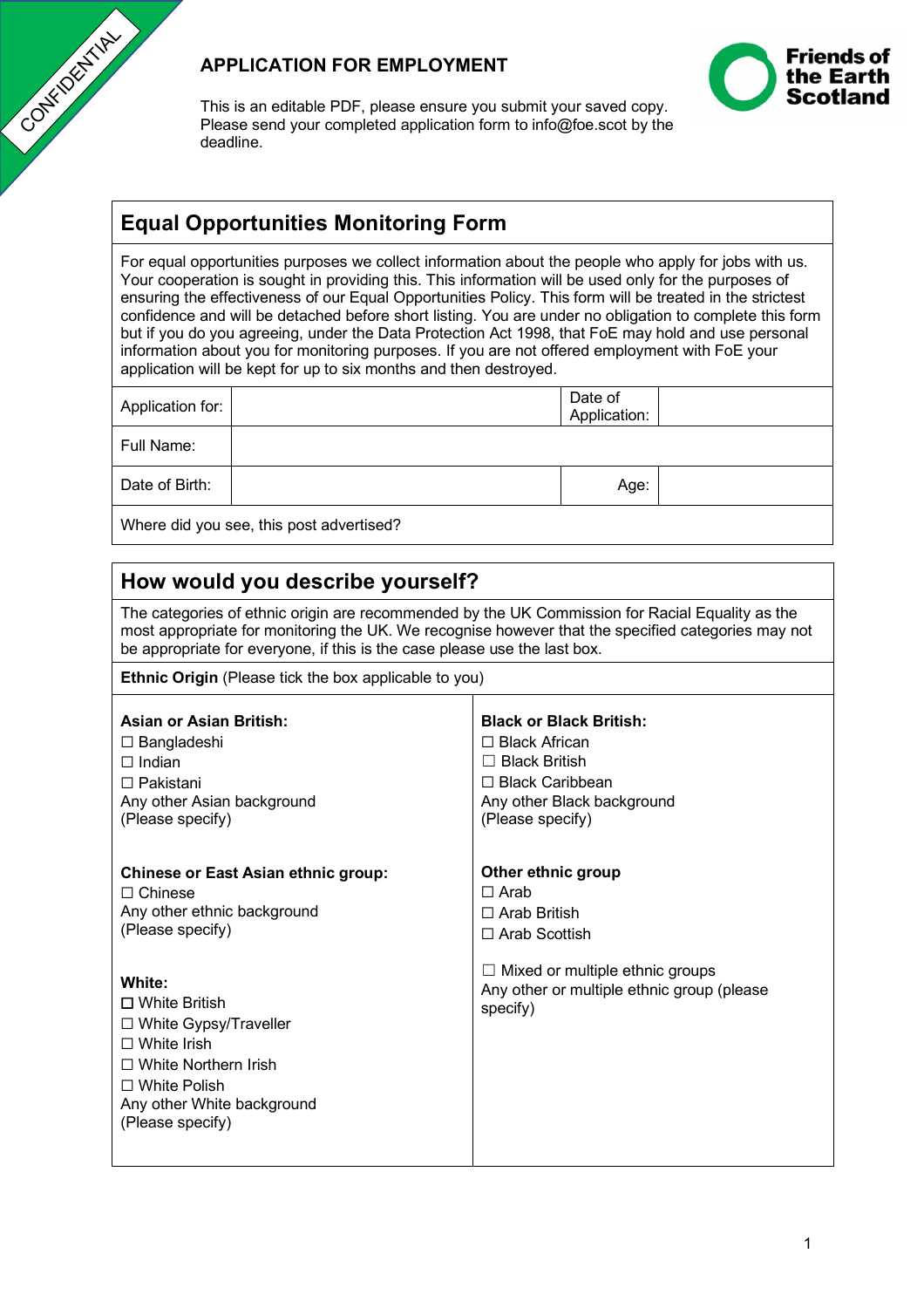

## **APPLICATION FOR EMPLOYMENT**



This is an editable PDF, please ensure you submit your saved copy. Please send your completed application form to info@foe.scot by the deadline.

## **Equal Opportunities Monitoring Form**

For equal opportunities purposes we collect information about the people who apply for jobs with us. Your cooperation is sought in providing this. This information will be used only for the purposes of ensuring the effectiveness of our Equal Opportunities Policy. This form will be treated in the strictest confidence and will be detached before short listing. You are under no obligation to complete this form but if you do you agreeing, under the Data Protection Act 1998, that FoE may hold and use personal information about you for monitoring purposes. If you are not offered employment with FoE your application will be kept for up to six months and then destroyed.

| Application for: |                                          | Date of<br>Application: |  |
|------------------|------------------------------------------|-------------------------|--|
| Full Name:       |                                          |                         |  |
| Date of Birth:   |                                          | Age:                    |  |
|                  | Where did you see, this post advertised? |                         |  |

| How would you describe yourself?                                                                                                                                                                                                                                                   |                                                                                                                                                            |  |  |  |  |
|------------------------------------------------------------------------------------------------------------------------------------------------------------------------------------------------------------------------------------------------------------------------------------|------------------------------------------------------------------------------------------------------------------------------------------------------------|--|--|--|--|
| The categories of ethnic origin are recommended by the UK Commission for Racial Equality as the<br>most appropriate for monitoring the UK. We recognise however that the specified categories may not<br>be appropriate for everyone, if this is the case please use the last box. |                                                                                                                                                            |  |  |  |  |
| <b>Ethnic Origin</b> (Please tick the box applicable to you)                                                                                                                                                                                                                       |                                                                                                                                                            |  |  |  |  |
| <b>Asian or Asian British:</b><br>$\Box$ Bangladeshi<br>$\Box$ Indian<br>$\Box$ Pakistani<br>Any other Asian background<br>(Please specify)                                                                                                                                        | <b>Black or Black British:</b><br>$\Box$ Black African<br>$\Box$ Black British<br>$\Box$ Black Caribbean<br>Any other Black background<br>(Please specify) |  |  |  |  |
| <b>Chinese or East Asian ethnic group:</b><br>$\Box$ Chinese<br>Any other ethnic background<br>(Please specify)                                                                                                                                                                    | Other ethnic group<br>$\Box$ Arab<br>$\Box$ Arab British<br>□ Arab Scottish                                                                                |  |  |  |  |
| White:<br>$\Box$ White British<br>$\Box$ White Gypsy/Traveller<br>$\Box$ White Irish<br>$\Box$ White Northern Irish<br>$\Box$ White Polish<br>Any other White background<br>(Please specify)                                                                                       | $\Box$ Mixed or multiple ethnic groups<br>Any other or multiple ethnic group (please<br>specify)                                                           |  |  |  |  |